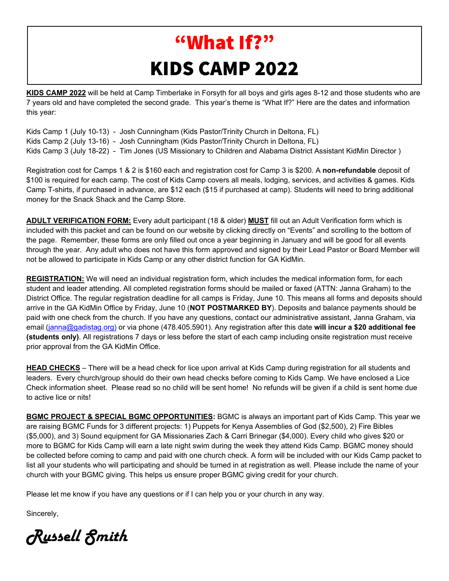# "What If?" KIDS CAMP 2022

**KIDS CAMP 2022** will be held at Camp Timberlake in Forsyth for all boys and girls ages 8-12 and those students who are 7 years old and have completed the second grade. This year's theme is "What If?" Here are the dates and information this year:

Kids Camp 1 (July 10-13) - Josh Cunningham (Kids Pastor/Trinity Church in Deltona, FL) Kids Camp 2 (July 13-16) - Josh Cunningham (Kids Pastor/Trinity Church in Deltona, FL) Kids Camp 3 (July 18-22) - Tim Jones (US Missionary to Children and Alabama District Assistant KidMin Director )

Registration cost for Camps 1 & 2 is \$160 each and registration cost for Camp 3 is \$200. A **non-refundable** deposit of \$100 is required for each camp. The cost of Kids Camp covers all meals, lodging, services, and activities & games. Kids Camp T-shirts, if purchased in advance, are \$12 each (\$15 if purchased at camp). Students will need to bring additional money for the Snack Shack and the Camp Store.

**ADULT VERIFICATION FORM:** Every adult participant (18 & older) **MUST** fill out an Adult Verification form which is included with this packet and can be found on our website by clicking directly on "Events" and scrolling to the bottom of the page. Remember, these forms are only filled out once a year beginning in January and will be good for all events through the year. Any adult who does not have this form approved and signed by their Lead Pastor or Board Member will not be allowed to participate in Kids Camp or any other district function for GA KidMin.

**REGISTRATION:** We will need an individual registration form, which includes the medical information form, for each student and leader attending. All completed registration forms should be mailed or faxed (ATTN: Janna Graham) to the District Office. The regular registration deadline for all camps is Friday, June 10. This means all forms and deposits should arrive in the GA KidMin Office by Friday, June 10 (**NOT POSTMARKED BY**). Deposits and balance payments should be paid with one check from the church. If you have any questions, contact our administrative assistant, Janna Graham, via email [\(janna@gadistag.org\)](mailto:janna@gadistag.org) or via phone (478.405.5901). Any registration after this date **will incur a \$20 additional fee (students only)**. All registrations 7 days or less before the start of each camp including onsite registration must receive prior approval from the GA KidMin Office.

**HEAD CHECKS** – There will be a head check for lice upon arrival at Kids Camp during registration for all students and leaders. Every church/group should do their own head checks before coming to Kids Camp. We have enclosed a Lice Check information sheet. Please read so no child will be sent home! No refunds will be given if a child is sent home due to active lice or nits!

**BGMC PROJECT & SPECIAL BGMC OPPORTUNITIES:** BGMC is always an important part of Kids Camp. This year we are raising BGMC Funds for 3 different projects: 1) Puppets for Kenya Assemblies of God (\$2,500), 2) Fire Bibles (\$5,000), and 3) Sound equipment for GA Missionaries Zach & Carri Brinegar (\$4,000). Every child who gives \$20 or more to BGMC for Kids Camp will earn a late night swim during the week they attend Kids Camp. BGMC money should be collected before coming to camp and paid with one church check. A form will be included with our Kids Camp packet to list all your students who will participating and should be turned in at registration as well. Please include the name of your church with your BGMC giving. This helps us ensure proper BGMC giving credit for your church.

Please let me know if you have any questions or if I can help you or your church in any way.

Sincerely,

Russell Smith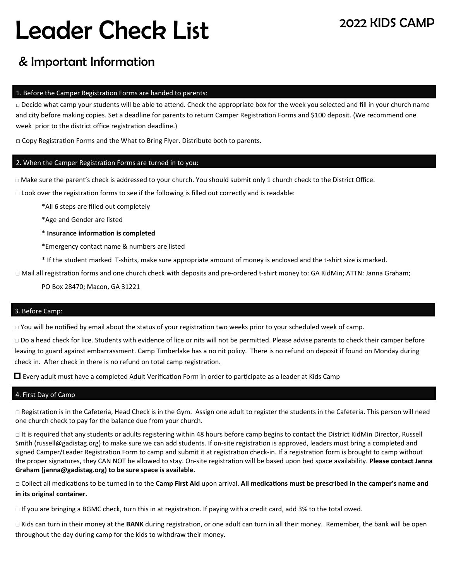# Leader Check List

## & Important Information

#### 1. Before the Camper Registration Forms are handed to parents:

□ Decide what camp your students will be able to attend. Check the appropriate box for the week you selected and fill in your church name and city before making copies. Set a deadline for parents to return Camper Registration Forms and \$100 deposit. (We recommend one week prior to the district office registration deadline.)

□ Copy Registration Forms and the What to Bring Flyer. Distribute both to parents.

#### 2. When the Camper Registration Forms are turned in to you:

□ Make sure the parent's check is addressed to your church. You should submit only 1 church check to the District Office.

 $\Box$  Look over the registration forms to see if the following is filled out correctly and is readable:

\*All 6 steps are filled out completely

\*Age and Gender are listed

\* **Insurance informaƟon is completed**

\*Emergency contact name & numbers are listed

\* If the student marked T‐shirts, make sure appropriate amount of money is enclosed and the t‐shirt size is marked.

□ Mail all registration forms and one church check with deposits and pre-ordered t-shirt money to: GA KidMin; ATTN: Janna Graham;

PO Box 28470; Macon, GA 31221

#### 3. Before Camp:

 $\Box$  You will be notified by email about the status of your registration two weeks prior to your scheduled week of camp.

□ Do a head check for lice. Students with evidence of lice or nits will not be permitted. Please advise parents to check their camper before leaving to guard against embarrassment. Camp Timberlake has a no nit policy. There is no refund on deposit if found on Monday during check in. After check in there is no refund on total camp registration.

 $\Box$  Every adult must have a completed Adult Verification Form in order to participate as a leader at Kids Camp

#### 4. First Day of Camp

□ Registration is in the Cafeteria, Head Check is in the Gym. Assign one adult to register the students in the Cafeteria. This person will need one church check to pay for the balance due from your church.

□ It is required that any students or adults registering within 48 hours before camp begins to contact the District KidMin Director, Russell Smith (russell@gadistag.org) to make sure we can add students. If on-site registration is approved, leaders must bring a completed and signed Camper/Leader Registration Form to camp and submit it at registration check-in. If a registration form is brought to camp without the proper signatures, they CAN NOT be allowed to stay. On-site registration will be based upon bed space availability. **Please contact Janna Graham (janna@gadistag.org) to be sure space is available.** 

□ Collect all medications to be turned in to the **Camp First Aid** upon arrival. All medications must be prescribed in the camper's name and **in its original container.** 

 $\Box$  If you are bringing a BGMC check, turn this in at registration. If paying with a credit card, add 3% to the total owed.

□ Kids can turn in their money at the **BANK** during registration, or one adult can turn in all their money. Remember, the bank will be open throughout the day during camp for the kids to withdraw their money.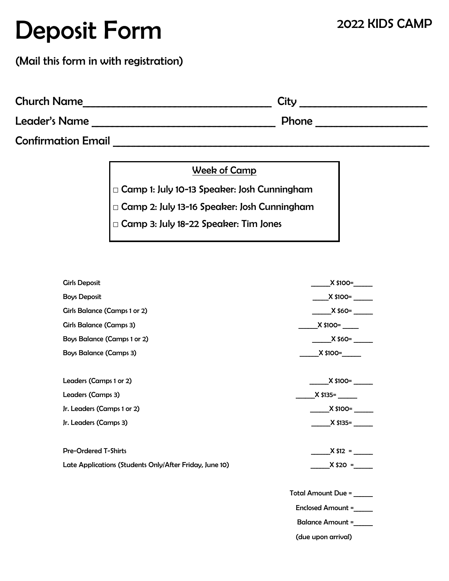# Deposit Form

### (Mail this form in with registration)

| <b>Church Name</b>        | City  |
|---------------------------|-------|
| Leader's Name             | Phone |
| <b>Confirmation Email</b> |       |

Week of Camp

**□** Camp 1: July 10-13 Speaker: Josh Cunningham

**□** Camp 2: July 13-16 Speaker: Josh Cunningham

|  |  |  |  | □ Camp 3: July 18-22 Speaker: Tim Jones |  |  |
|--|--|--|--|-----------------------------------------|--|--|
|--|--|--|--|-----------------------------------------|--|--|

| <b>Girls Deposit</b>                                    | $X$ \$100=               |
|---------------------------------------------------------|--------------------------|
| <b>Boys Deposit</b>                                     | $X$ \$100=               |
| <b>Girls Balance (Camps 1 or 2)</b>                     | $X$ \$60=                |
| <b>Girls Balance (Camps 3)</b>                          |                          |
| <b>Boys Balance (Camps 1 or 2)</b>                      | $X$ \$60=                |
| <b>Boys Balance (Camps 3)</b>                           | $X$ \$100=               |
|                                                         |                          |
| Leaders (Camps 1 or 2)                                  | $X$ \$100=               |
| Leaders (Camps 3)                                       | $X$ \$135=               |
| Jr. Leaders (Camps 1 or 2)                              | $X$ \$100= $\frac{1}{1}$ |
| Jr. Leaders (Camps 3)                                   | $X$ \$135=               |
|                                                         |                          |
| <b>Pre-Ordered T-Shirts</b>                             | $X$ \$12 =               |
| Late Applications (Students Only/After Friday, June 10) | $X $20 =$                |
|                                                         |                          |
|                                                         | Total Amount Due =       |
|                                                         | <b>Enclosed Amount =</b> |
|                                                         | <b>Balance Amount =</b>  |
|                                                         | (due upon arrival)       |
|                                                         |                          |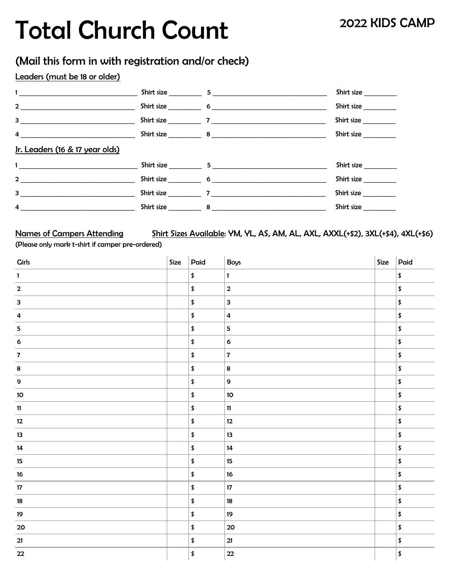# Total Church Count

### (Mail this form in with registration and/or check)

### Leaders (must be 18 or older)

| $\mathbf{1}_{\{1,2,3,4,5\}}$ and $\mathbf{1}_{\{1,2,3,4,5\}}$                                                              |                                                                                                                                                                                                                                                                                                                                                                  | Shirt size |
|----------------------------------------------------------------------------------------------------------------------------|------------------------------------------------------------------------------------------------------------------------------------------------------------------------------------------------------------------------------------------------------------------------------------------------------------------------------------------------------------------|------------|
| $\overline{\mathbf{a}}$                                                                                                    |                                                                                                                                                                                                                                                                                                                                                                  | Shirt size |
| $3 \quad \blacksquare$                                                                                                     | Shirt size $\qquad \qquad$ 7 $\qquad \qquad$ 7 $\qquad \qquad$ 7 $\qquad \qquad$ 7 $\qquad \qquad$ 7 $\qquad \qquad$ 7 $\qquad \qquad$ 7 $\qquad \qquad$ 7 $\qquad \qquad$ 7 $\qquad \qquad$ 7 $\qquad \qquad$ 7 $\qquad \qquad$ 7 $\qquad \qquad$ 7 $\qquad \qquad$ 7 $\qquad \qquad$ 7 $\qquad \qquad$ 7 $\qquad \qquad$ 7 $\qquad \qquad$ 7 $\qquad \qquad$ 7 | Shirt size |
| $4 \quad$                                                                                                                  |                                                                                                                                                                                                                                                                                                                                                                  | Shirt size |
| Jr. Leaders (16 & 17 year olds)                                                                                            |                                                                                                                                                                                                                                                                                                                                                                  |            |
| $\mathbf{1}_{\mathcal{D}}$ and $\mathcal{D}_{\mathcal{D}}$ and $\mathcal{D}_{\mathcal{D}}$ and $\mathcal{D}_{\mathcal{D}}$ | Shirt size 5                                                                                                                                                                                                                                                                                                                                                     | Shirt size |
| $\overline{2}$                                                                                                             |                                                                                                                                                                                                                                                                                                                                                                  | Shirt size |
| $3^{\circ}$                                                                                                                |                                                                                                                                                                                                                                                                                                                                                                  | Shirt size |
| 4                                                                                                                          | Shirt size 8                                                                                                                                                                                                                                                                                                                                                     | Shirt size |

Names of Campers Attending Shirt Sizes Available: YM, YL, AS, AM, AL, AXL, AXXL(+\$2), 3XL(+\$4), 4XL(+\$6) (Please only mark t-shirt if camper pre-ordered)

| <b>Girls</b>            | Size | Paid                | Boys                    | Size | Paid                |
|-------------------------|------|---------------------|-------------------------|------|---------------------|
| $\mathbf{1}$            |      | $\pmb{\mathsf{\$}}$ | $\mathbf{1}$            |      | \$                  |
| $\overline{\mathbf{2}}$ |      | \$                  | $\mathbf 2$             |      | \$                  |
| 3                       |      | \$                  | 3                       |      | \$                  |
| $\overline{\mathbf{4}}$ |      | $\pmb{\mathsf{\$}}$ | $\overline{\mathbf{4}}$ |      | \$                  |
| $\overline{\mathbf{5}}$ |      | $\pmb{\mathsf{\$}}$ | 5                       |      | \$                  |
| $\boldsymbol{6}$        |      | \$                  | $\bf 6$                 |      | \$                  |
| $\overline{\mathbf{z}}$ |      | $\pmb{\mathsf{\$}}$ | $\bf 7$                 |      | \$                  |
| $\bf8$                  |      | \$                  | $\pmb{8}$               |      | \$                  |
| $\mathbf 9$             |      | \$                  | 9                       |      | \$                  |
| $10\,$                  |      | \$                  | $\mathbf{10}$           |      | \$                  |
| $11$                    |      | \$                  | 11                      |      | \$                  |
| $12$                    |      | \$                  | 12                      |      | \$                  |
| 13                      |      | \$                  | 13                      |      | \$                  |
| 14                      |      | \$                  | 14                      |      | \$                  |
| 15                      |      | $\pmb{\mathsf{\$}}$ | $15\phantom{.0}$        |      | \$                  |
| $16\,$                  |      | \$                  | $16\,$                  |      | \$                  |
| $17\,$                  |      | \$                  | $17\,$                  |      | \$                  |
| $18\,$                  |      | $\pmb{\mathsf{\$}}$ | $18\,$                  |      | \$                  |
| $19$                    |      | \$                  | 19                      |      | \$                  |
| ${\bf 20}$              |      | \$                  | ${\bf 20}$              |      | \$                  |
| $21$                    |      | \$                  | ${\bf 21}$              |      | \$                  |
| 22                      |      | \$                  | ${\bf 22}$              |      | $\pmb{\mathsf{\$}}$ |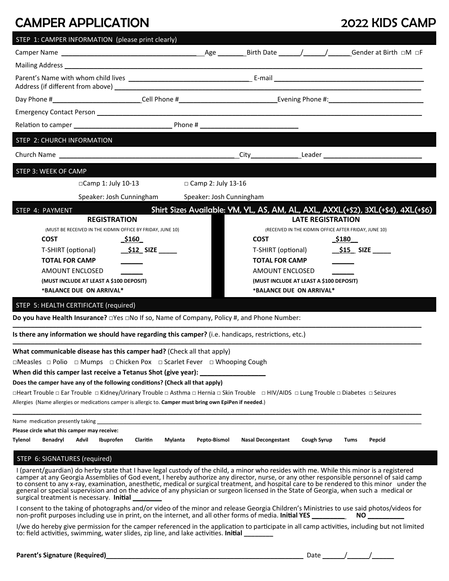# CAMPER APPLICATION 2022 KIDS CAMP

| STEP 1: CAMPER INFORMATION (please print clearly)                                                                                                                                                                                                                                                                                                                                                                                                                                                                                                                                                                    |                                                   |                      |                                         |                          |             |                                                                                                                                                                                                                                |
|----------------------------------------------------------------------------------------------------------------------------------------------------------------------------------------------------------------------------------------------------------------------------------------------------------------------------------------------------------------------------------------------------------------------------------------------------------------------------------------------------------------------------------------------------------------------------------------------------------------------|---------------------------------------------------|----------------------|-----------------------------------------|--------------------------|-------------|--------------------------------------------------------------------------------------------------------------------------------------------------------------------------------------------------------------------------------|
|                                                                                                                                                                                                                                                                                                                                                                                                                                                                                                                                                                                                                      |                                                   |                      |                                         |                          |             |                                                                                                                                                                                                                                |
|                                                                                                                                                                                                                                                                                                                                                                                                                                                                                                                                                                                                                      |                                                   |                      |                                         |                          |             |                                                                                                                                                                                                                                |
|                                                                                                                                                                                                                                                                                                                                                                                                                                                                                                                                                                                                                      |                                                   |                      |                                         |                          |             |                                                                                                                                                                                                                                |
|                                                                                                                                                                                                                                                                                                                                                                                                                                                                                                                                                                                                                      |                                                   |                      |                                         |                          |             |                                                                                                                                                                                                                                |
|                                                                                                                                                                                                                                                                                                                                                                                                                                                                                                                                                                                                                      |                                                   |                      |                                         |                          |             |                                                                                                                                                                                                                                |
| Relation to camper expected to the control of the control of the Phone #                                                                                                                                                                                                                                                                                                                                                                                                                                                                                                                                             |                                                   |                      |                                         |                          |             |                                                                                                                                                                                                                                |
| STEP 2: CHURCH INFORMATION                                                                                                                                                                                                                                                                                                                                                                                                                                                                                                                                                                                           |                                                   |                      |                                         |                          |             |                                                                                                                                                                                                                                |
|                                                                                                                                                                                                                                                                                                                                                                                                                                                                                                                                                                                                                      |                                                   |                      |                                         |                          |             | City Leader Leader City Contract City Contract City Contract Contract Contract Contract Contract Contract Contract Contract Contract Contract Contract Contract Contract Contract Contract Contract Contract Contract Contract |
| STEP 3: WEEK OF CAMP                                                                                                                                                                                                                                                                                                                                                                                                                                                                                                                                                                                                 |                                                   |                      |                                         |                          |             |                                                                                                                                                                                                                                |
| □Camp 1: July 10-13                                                                                                                                                                                                                                                                                                                                                                                                                                                                                                                                                                                                  |                                                   | □ Camp 2: July 13-16 |                                         |                          |             |                                                                                                                                                                                                                                |
|                                                                                                                                                                                                                                                                                                                                                                                                                                                                                                                                                                                                                      | Speaker: Josh Cunningham Speaker: Josh Cunningham |                      |                                         |                          |             |                                                                                                                                                                                                                                |
| STEP 4: PAYMENT                                                                                                                                                                                                                                                                                                                                                                                                                                                                                                                                                                                                      |                                                   |                      |                                         |                          |             | Shirt Sizes Available: YM, YL, AS, AM, AL, AXL, AXXL(+\$2), 3XL(+\$4), 4XL(+\$6)                                                                                                                                               |
| <b>REGISTRATION</b>                                                                                                                                                                                                                                                                                                                                                                                                                                                                                                                                                                                                  |                                                   |                      |                                         | <b>LATE REGISTRATION</b> |             |                                                                                                                                                                                                                                |
| (MUST BE RECEIVED IN THE KIDMIN OFFICE BY FRIDAY, JUNE 10)                                                                                                                                                                                                                                                                                                                                                                                                                                                                                                                                                           |                                                   |                      |                                         |                          |             | (RECEIVED IN THE KIDMIN OFFICE AFTER FRIDAY, JUNE 10)                                                                                                                                                                          |
| <b>COST</b>                                                                                                                                                                                                                                                                                                                                                                                                                                                                                                                                                                                                          | <u>_\$160</u>                                     |                      | <b>COST</b>                             |                          |             | <u>_\$180_</u>                                                                                                                                                                                                                 |
| T-SHIRT (optional)                                                                                                                                                                                                                                                                                                                                                                                                                                                                                                                                                                                                   |                                                   |                      | T-SHIRT (optional)                      |                          |             | $\_$ \$15 $\_$ SIZE $\_$                                                                                                                                                                                                       |
| <b>TOTAL FOR CAMP</b>                                                                                                                                                                                                                                                                                                                                                                                                                                                                                                                                                                                                |                                                   |                      | <b>TOTAL FOR CAMP</b>                   |                          |             |                                                                                                                                                                                                                                |
| AMOUNT ENCLOSED                                                                                                                                                                                                                                                                                                                                                                                                                                                                                                                                                                                                      |                                                   |                      | AMOUNT ENCLOSED                         |                          |             |                                                                                                                                                                                                                                |
| (MUST INCLUDE AT LEAST A \$100 DEPOSIT)                                                                                                                                                                                                                                                                                                                                                                                                                                                                                                                                                                              |                                                   |                      | (MUST INCLUDE AT LEAST A \$100 DEPOSIT) |                          |             |                                                                                                                                                                                                                                |
| *BALANCE DUE ON ARRIVAL*                                                                                                                                                                                                                                                                                                                                                                                                                                                                                                                                                                                             |                                                   |                      | *BALANCE DUE ON ARRIVAL*                |                          |             |                                                                                                                                                                                                                                |
| STEP 5: HEALTH CERTIFICATE (required)                                                                                                                                                                                                                                                                                                                                                                                                                                                                                                                                                                                |                                                   |                      |                                         |                          |             |                                                                                                                                                                                                                                |
|                                                                                                                                                                                                                                                                                                                                                                                                                                                                                                                                                                                                                      |                                                   |                      |                                         |                          |             |                                                                                                                                                                                                                                |
| Is there any information we should have regarding this camper? (i.e. handicaps, restrictions, etc.)                                                                                                                                                                                                                                                                                                                                                                                                                                                                                                                  |                                                   |                      |                                         |                          |             |                                                                                                                                                                                                                                |
| What communicable disease has this camper had? (Check all that apply)                                                                                                                                                                                                                                                                                                                                                                                                                                                                                                                                                |                                                   |                      |                                         |                          |             |                                                                                                                                                                                                                                |
| □Measles □ Polio □ Mumps □ Chicken Pox □ Scarlet Fever □ Whooping Cough                                                                                                                                                                                                                                                                                                                                                                                                                                                                                                                                              |                                                   |                      |                                         |                          |             |                                                                                                                                                                                                                                |
| When did this camper last receive a Tetanus Shot (give year): __________________                                                                                                                                                                                                                                                                                                                                                                                                                                                                                                                                     |                                                   |                      |                                         |                          |             |                                                                                                                                                                                                                                |
| Does the camper have any of the following conditions? (Check all that apply)                                                                                                                                                                                                                                                                                                                                                                                                                                                                                                                                         |                                                   |                      |                                         |                          |             |                                                                                                                                                                                                                                |
| □Heart Trouble □ Ear Trouble □ Kidney/Urinary Trouble □ Asthma □ Hernia □ Skin Trouble □ HIV/AIDS □ Lung Trouble □ Diabetes □ Seizures                                                                                                                                                                                                                                                                                                                                                                                                                                                                               |                                                   |                      |                                         |                          |             |                                                                                                                                                                                                                                |
| Allergies (Name allergies or medications camper is allergic to. Camper must bring own EpiPen if needed.)                                                                                                                                                                                                                                                                                                                                                                                                                                                                                                             |                                                   |                      |                                         |                          |             |                                                                                                                                                                                                                                |
| Name medication presently taking the state of the state of the state of the state of the state of the state of                                                                                                                                                                                                                                                                                                                                                                                                                                                                                                       |                                                   |                      |                                         |                          |             |                                                                                                                                                                                                                                |
| Please circle what this camper may receive:                                                                                                                                                                                                                                                                                                                                                                                                                                                                                                                                                                          |                                                   |                      |                                         |                          |             |                                                                                                                                                                                                                                |
| Advil<br>Ibuprofen<br>Tylenol<br>Benadryl                                                                                                                                                                                                                                                                                                                                                                                                                                                                                                                                                                            | <b>Claritin</b><br>Mylanta                        | Pepto-Bismol         | <b>Nasal Decongestant</b>               |                          | Cough Syrup | Tums<br>Pepcid                                                                                                                                                                                                                 |
| STEP 6: SIGNATURES (required)                                                                                                                                                                                                                                                                                                                                                                                                                                                                                                                                                                                        |                                                   |                      |                                         |                          |             |                                                                                                                                                                                                                                |
| I (parent/guardian) do herby state that I have legal custody of the child, a minor who resides with me. While this minor is a registered<br>camper at any Georgia Assemblies of God event, I hereby authorize any director, nurse, or any other responsible personnel of said camp<br>to consent to any x-ray, examination, anesthetic, medical or surgical treatment, and hospital care to be rendered to this minor under the<br>general or special supervision and on the advice of any physician or surgeon licensed in the State of Georgia, when such a medical or<br>surgical treatment is necessary. Initial |                                                   |                      |                                         |                          |             |                                                                                                                                                                                                                                |
| I consent to the taking of photographs and/or video of the minor and release Georgia Children's Ministries to use said photos/videos for<br>non-profit purposes including use in print, on the internet, and all other forms of media. Initial YES _______                                                                                                                                                                                                                                                                                                                                                           |                                                   |                      |                                         |                          |             | NO                                                                                                                                                                                                                             |
| I/we do hereby give permission for the camper referenced in the application to participate in all camp activities, including but not limited<br>to: field activities, swimming, water slides, zip line, and lake activities. Initial ________                                                                                                                                                                                                                                                                                                                                                                        |                                                   |                      |                                         |                          |             |                                                                                                                                                                                                                                |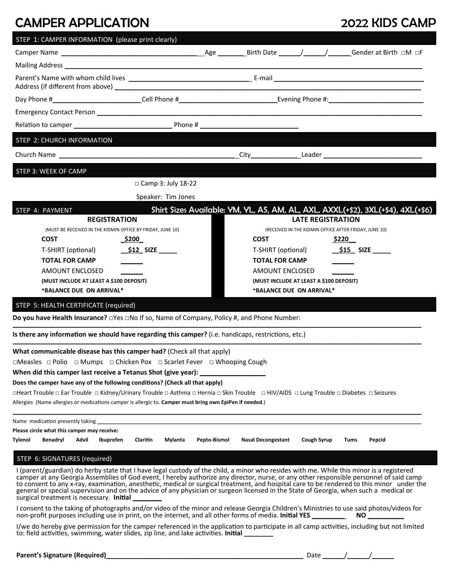# CAMPER APPLICATION 2022 KIDS CAMP

| STEP 1: CAMPER INFORMATION (please print clearly)                                                                                                                                                                                                                                                                                                                                                                                                                                                                                                                                                                    |                         |                                         |                          |                    |                                                                                  |
|----------------------------------------------------------------------------------------------------------------------------------------------------------------------------------------------------------------------------------------------------------------------------------------------------------------------------------------------------------------------------------------------------------------------------------------------------------------------------------------------------------------------------------------------------------------------------------------------------------------------|-------------------------|-----------------------------------------|--------------------------|--------------------|----------------------------------------------------------------------------------|
|                                                                                                                                                                                                                                                                                                                                                                                                                                                                                                                                                                                                                      |                         |                                         |                          |                    |                                                                                  |
|                                                                                                                                                                                                                                                                                                                                                                                                                                                                                                                                                                                                                      |                         |                                         |                          |                    |                                                                                  |
|                                                                                                                                                                                                                                                                                                                                                                                                                                                                                                                                                                                                                      |                         |                                         |                          |                    |                                                                                  |
|                                                                                                                                                                                                                                                                                                                                                                                                                                                                                                                                                                                                                      |                         |                                         |                          |                    |                                                                                  |
|                                                                                                                                                                                                                                                                                                                                                                                                                                                                                                                                                                                                                      |                         |                                         |                          |                    |                                                                                  |
| Relation to camper 100 million and the contract of Phone # 100 million and the contract of Phone # 100 million                                                                                                                                                                                                                                                                                                                                                                                                                                                                                                       |                         |                                         |                          |                    |                                                                                  |
| STEP 2: CHURCH INFORMATION                                                                                                                                                                                                                                                                                                                                                                                                                                                                                                                                                                                           |                         |                                         |                          |                    |                                                                                  |
| Church Name <b>Church Name</b>                                                                                                                                                                                                                                                                                                                                                                                                                                                                                                                                                                                       |                         |                                         |                          |                    | City Leader Leader Leader                                                        |
| STEP 3: WEEK OF CAMP                                                                                                                                                                                                                                                                                                                                                                                                                                                                                                                                                                                                 |                         |                                         |                          |                    |                                                                                  |
| $\Box$ Camp 3: July 18-22                                                                                                                                                                                                                                                                                                                                                                                                                                                                                                                                                                                            |                         |                                         |                          |                    |                                                                                  |
| Speaker: Tim Jones                                                                                                                                                                                                                                                                                                                                                                                                                                                                                                                                                                                                   |                         |                                         |                          |                    |                                                                                  |
| STEP 4: PAYMENT                                                                                                                                                                                                                                                                                                                                                                                                                                                                                                                                                                                                      |                         |                                         |                          |                    | Shirt Sizes Available: YM, YL, AS, AM, AL, AXL, AXXL(+\$2), 3XL(+\$4), 4XL(+\$6) |
| <b>REGISTRATION</b>                                                                                                                                                                                                                                                                                                                                                                                                                                                                                                                                                                                                  |                         |                                         | <b>LATE REGISTRATION</b> |                    |                                                                                  |
| (MUST BE RECEIVED IN THE KIDMIN OFFICE BY FRIDAY, JUNE 10)                                                                                                                                                                                                                                                                                                                                                                                                                                                                                                                                                           |                         |                                         |                          |                    | (RECEIVED IN THE KIDMIN OFFICE AFTER FRIDAY, JUNE 10)                            |
| <b>COST</b><br>_\$200_                                                                                                                                                                                                                                                                                                                                                                                                                                                                                                                                                                                               |                         | <b>COST</b>                             |                          |                    | \$220__                                                                          |
| T-SHIRT (optional)                                                                                                                                                                                                                                                                                                                                                                                                                                                                                                                                                                                                   |                         | T-SHIRT (optional)                      |                          |                    | $$15$ SIZE                                                                       |
| <b>TOTAL FOR CAMP</b>                                                                                                                                                                                                                                                                                                                                                                                                                                                                                                                                                                                                |                         | TOTAL FOR CAMP                          |                          |                    |                                                                                  |
| AMOUNT ENCLOSED                                                                                                                                                                                                                                                                                                                                                                                                                                                                                                                                                                                                      |                         | AMOUNT ENCLOSED                         |                          |                    |                                                                                  |
| (MUST INCLUDE AT LEAST A \$100 DEPOSIT)                                                                                                                                                                                                                                                                                                                                                                                                                                                                                                                                                                              |                         | (MUST INCLUDE AT LEAST A \$100 DEPOSIT) |                          |                    |                                                                                  |
| *BALANCE DUE ON ARRIVAL*                                                                                                                                                                                                                                                                                                                                                                                                                                                                                                                                                                                             |                         | *BALANCE DUE ON ARRIVAL*                |                          |                    |                                                                                  |
| STEP 5: HEALTH CERTIFICATE (required)                                                                                                                                                                                                                                                                                                                                                                                                                                                                                                                                                                                |                         |                                         |                          |                    |                                                                                  |
|                                                                                                                                                                                                                                                                                                                                                                                                                                                                                                                                                                                                                      |                         |                                         |                          |                    |                                                                                  |
| Is there any information we should have regarding this camper? (i.e. handicaps, restrictions, etc.)                                                                                                                                                                                                                                                                                                                                                                                                                                                                                                                  |                         |                                         |                          |                    |                                                                                  |
| What communicable disease has this camper had? (Check all that apply)                                                                                                                                                                                                                                                                                                                                                                                                                                                                                                                                                |                         |                                         |                          |                    |                                                                                  |
| □Measles □ Polio □ Mumps □ Chicken Pox □ Scarlet Fever □ Whooping Cough                                                                                                                                                                                                                                                                                                                                                                                                                                                                                                                                              |                         |                                         |                          |                    |                                                                                  |
| When did this camper last receive a Tetanus Shot (give year):                                                                                                                                                                                                                                                                                                                                                                                                                                                                                                                                                        |                         |                                         |                          |                    |                                                                                  |
| Does the camper have any of the following conditions? (Check all that apply)                                                                                                                                                                                                                                                                                                                                                                                                                                                                                                                                         |                         |                                         |                          |                    |                                                                                  |
| □Heart Trouble □ Ear Trouble □ Kidney/Urinary Trouble □ Asthma □ Hernia □ Skin Trouble □ HIV/AIDS □ Lung Trouble □ Diabetes □ Seizures                                                                                                                                                                                                                                                                                                                                                                                                                                                                               |                         |                                         |                          |                    |                                                                                  |
| Allergies (Name allergies or medications camper is allergic to. Camper must bring own EpiPen if needed.)                                                                                                                                                                                                                                                                                                                                                                                                                                                                                                             |                         |                                         |                          |                    |                                                                                  |
|                                                                                                                                                                                                                                                                                                                                                                                                                                                                                                                                                                                                                      |                         |                                         |                          |                    |                                                                                  |
| Please circle what this camper may receive:                                                                                                                                                                                                                                                                                                                                                                                                                                                                                                                                                                          |                         |                                         |                          |                    |                                                                                  |
| Advil<br>Ibuprofen<br>Claritin<br>Tylenol<br>Benadryl                                                                                                                                                                                                                                                                                                                                                                                                                                                                                                                                                                | Pepto-Bismol<br>Mylanta | <b>Nasal Decongestant</b>               |                          | <b>Cough Syrup</b> | Tums<br>Pepcid                                                                   |
| STEP 6: SIGNATURES (required)                                                                                                                                                                                                                                                                                                                                                                                                                                                                                                                                                                                        |                         |                                         |                          |                    |                                                                                  |
| I (parent/guardian) do herby state that I have legal custody of the child, a minor who resides with me. While this minor is a registered<br>camper at any Georgia Assemblies of God event, I hereby authorize any director, nurse, or any other responsible personnel of said camp<br>to consent to any x-ray, examination, anesthetic, medical or surgical treatment, and hospital care to be rendered to this minor under the<br>general or special supervision and on the advice of any physician or surgeon licensed in the State of Georgia, when such a medical or<br>surgical treatment is necessary. Initial |                         |                                         |                          |                    |                                                                                  |
| I consent to the taking of photographs and/or video of the minor and release Georgia Children's Ministries to use said photos/videos for<br>non-profit purposes including use in print, on the internet, and all other forms of media. Initial YES                                                                                                                                                                                                                                                                                                                                                                   |                         |                                         |                          |                    | NO                                                                               |
| I/we do hereby give permission for the camper referenced in the application to participate in all camp activities, including but not limited<br>to: field activities, swimming, water slides, zip line, and lake activities. Initial ________                                                                                                                                                                                                                                                                                                                                                                        |                         |                                         |                          |                    |                                                                                  |

| Date |  |  |  |
|------|--|--|--|
|------|--|--|--|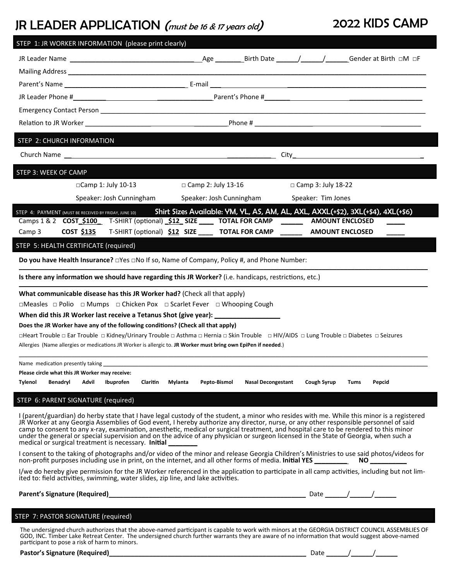# JR LEADER APPLICATION (must be 16 & 17 years old) 2022 KIDS CAMP

| STEP 1: JR WORKER INFORMATION (please print clearly)                                                                                                                                                                                                                                                                                                                                                                                                                                                                                                                                                                      |                                      |
|---------------------------------------------------------------------------------------------------------------------------------------------------------------------------------------------------------------------------------------------------------------------------------------------------------------------------------------------------------------------------------------------------------------------------------------------------------------------------------------------------------------------------------------------------------------------------------------------------------------------------|--------------------------------------|
|                                                                                                                                                                                                                                                                                                                                                                                                                                                                                                                                                                                                                           |                                      |
|                                                                                                                                                                                                                                                                                                                                                                                                                                                                                                                                                                                                                           |                                      |
|                                                                                                                                                                                                                                                                                                                                                                                                                                                                                                                                                                                                                           |                                      |
|                                                                                                                                                                                                                                                                                                                                                                                                                                                                                                                                                                                                                           |                                      |
| Emergency Contact Person Contact Number of Contact Contact Contact Contact Contact Contact Person Contact Person                                                                                                                                                                                                                                                                                                                                                                                                                                                                                                          |                                      |
|                                                                                                                                                                                                                                                                                                                                                                                                                                                                                                                                                                                                                           |                                      |
| STEP 2: CHURCH INFORMATION                                                                                                                                                                                                                                                                                                                                                                                                                                                                                                                                                                                                |                                      |
|                                                                                                                                                                                                                                                                                                                                                                                                                                                                                                                                                                                                                           |                                      |
| STEP 3: WEEK OF CAMP                                                                                                                                                                                                                                                                                                                                                                                                                                                                                                                                                                                                      |                                      |
| □Camp 1: July 10-13<br>□ Camp 2: July 13-16                                                                                                                                                                                                                                                                                                                                                                                                                                                                                                                                                                               | $\Box$ Camp 3: July 18-22            |
| Speaker: Josh Cunningham<br>Speaker: Josh Cunningham                                                                                                                                                                                                                                                                                                                                                                                                                                                                                                                                                                      | Speaker: Tim Jones                   |
| Shirt Sizes Available: YM, YL, AS, AM, AL, AXL, AXXL(+\$2), 3XL(+\$4), 4XL(+\$6)<br>STEP 4: PAYMENT (MUST BE RECEIVED BY FRIDAY, JUNE 10)                                                                                                                                                                                                                                                                                                                                                                                                                                                                                 |                                      |
| Camps 1 & 2 COST_\$100__ T-SHIRT (optional) _\$12_SIZE ______ TOTAL FOR CAMP                                                                                                                                                                                                                                                                                                                                                                                                                                                                                                                                              | <b>AMOUNT ENCLOSED</b>               |
| COST \$135 T-SHIRT (optional) \$12 SIZE ____ TOTAL FOR CAMP<br>Camp 3                                                                                                                                                                                                                                                                                                                                                                                                                                                                                                                                                     | <b>AMOUNT ENCLOSED</b>               |
| STEP 5: HEALTH CERTIFICATE (required)                                                                                                                                                                                                                                                                                                                                                                                                                                                                                                                                                                                     |                                      |
|                                                                                                                                                                                                                                                                                                                                                                                                                                                                                                                                                                                                                           |                                      |
| Is there any information we should have regarding this JR Worker? (i.e. handicaps, restrictions, etc.)                                                                                                                                                                                                                                                                                                                                                                                                                                                                                                                    |                                      |
| What communicable disease has this JR Worker had? (Check all that apply)                                                                                                                                                                                                                                                                                                                                                                                                                                                                                                                                                  |                                      |
| □Measles □ Polio □ Mumps □ Chicken Pox □ Scarlet Fever □ Whooping Cough                                                                                                                                                                                                                                                                                                                                                                                                                                                                                                                                                   |                                      |
| When did this JR Worker last receive a Tetanus Shot (give year): _______________                                                                                                                                                                                                                                                                                                                                                                                                                                                                                                                                          |                                      |
| Does the JR Worker have any of the following conditions? (Check all that apply)                                                                                                                                                                                                                                                                                                                                                                                                                                                                                                                                           |                                      |
| □Heart Trouble □ Ear Trouble □ Kidney/Urinary Trouble □ Asthma □ Hernia □ Skin Trouble □ HIV/AIDS □ Lung Trouble □ Diabetes □ Seizures                                                                                                                                                                                                                                                                                                                                                                                                                                                                                    |                                      |
| Allergies (Name allergies or medications JR Worker is allergic to. JR Worker must bring own EpiPen if needed.)                                                                                                                                                                                                                                                                                                                                                                                                                                                                                                            |                                      |
| Name medication presently taking                                                                                                                                                                                                                                                                                                                                                                                                                                                                                                                                                                                          |                                      |
| Please circle what this JR Worker may receive:                                                                                                                                                                                                                                                                                                                                                                                                                                                                                                                                                                            |                                      |
| Benadryl<br>Advil<br>Claritin<br>Mylanta<br>Pepto-Bismol<br><b>Nasal Decongestant</b><br><b>Tylenol</b><br>Ibuprofen                                                                                                                                                                                                                                                                                                                                                                                                                                                                                                      | <b>Cough Syrup</b><br>Pepcid<br>Tums |
| STEP 6: PARENT SIGNATURE (required)                                                                                                                                                                                                                                                                                                                                                                                                                                                                                                                                                                                       |                                      |
| I (parent/guardian) do herby state that I have legal custody of the student, a minor who resides with me. While this minor is a registered<br>JR Worker at any Georgia Assemblies of God event, I hereby authorize any director, nurse, or any other responsible personnel of said<br>camp to consent to any x-ray, examination, anesthetic, medical or surgical treatment, and hospital care to be rendered to this minor<br>under the general or special supervision and on the advice of any physician or surgeon licensed in the State of Georgia, when such a<br>medical or surgical treatment is necessary. Initial |                                      |
| I consent to the taking of photographs and/or video of the minor and release Georgia Children's Ministries to use said photos/videos for                                                                                                                                                                                                                                                                                                                                                                                                                                                                                  |                                      |
| I/we do hereby give permission for the JR Worker referenced in the application to participate in all camp activities, including but not lim-<br>ited to: field activities, swimming, water slides, zip line, and lake activities.                                                                                                                                                                                                                                                                                                                                                                                         |                                      |
| Parent's Signature (Required)<br>2014 - Carl Barnett's Signature (Required)                                                                                                                                                                                                                                                                                                                                                                                                                                                                                                                                               |                                      |
|                                                                                                                                                                                                                                                                                                                                                                                                                                                                                                                                                                                                                           |                                      |
| STEP 7: PASTOR SIGNATURE (required)                                                                                                                                                                                                                                                                                                                                                                                                                                                                                                                                                                                       |                                      |
| The undersigned church authorizes that the above-named participant is capable to work with minors at the GEORGIA DISTRICT COUNCIL ASSEMBLIES OF<br>GOD, INC. Timber Lake Retreat Center. The undersigned church further warrants they are aware of no information that would suggest above-named<br>participant to pose a risk of harm to minors.                                                                                                                                                                                                                                                                         |                                      |
| <b>Pastor's Signature (Required)</b>                                                                                                                                                                                                                                                                                                                                                                                                                                                                                                                                                                                      | Date                                 |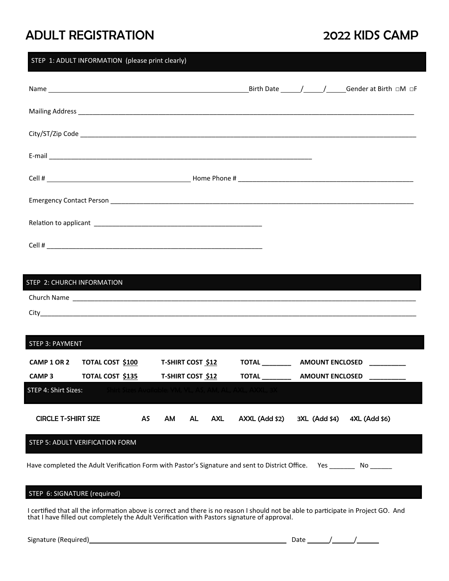## ADULT REGISTRATION 2022 KIDS CAMP

# STEP 1: ADULT INFORMATION (please print clearly) Name Birth Date / / Gender at Birth □M □F Mailing Address \_\_\_\_\_\_\_\_\_\_\_\_\_\_\_\_\_\_\_\_\_\_\_\_\_\_\_\_\_\_\_\_\_\_\_\_\_\_\_\_\_\_\_\_\_\_\_\_\_\_\_\_\_\_\_\_\_\_\_\_\_\_\_\_\_\_\_\_\_\_\_\_\_\_\_\_\_\_\_\_\_\_\_\_\_\_\_\_\_\_\_\_ City/ST/Zip Code \_\_\_\_\_\_\_\_\_\_\_\_\_\_\_\_\_\_\_\_\_\_\_\_\_\_\_\_\_\_\_\_\_\_\_\_\_\_\_\_\_\_\_\_\_\_\_\_\_\_\_\_\_\_\_\_\_\_\_\_\_\_\_\_\_\_\_\_\_\_\_\_\_\_\_\_\_\_\_\_\_\_\_\_\_\_\_\_\_\_\_\_  $E$ -mail  $\Box$ Cell # Home Phone # \_\_\_\_\_\_\_\_\_\_\_\_\_\_\_\_\_\_\_\_\_\_\_\_\_\_\_\_\_\_\_\_\_\_\_\_\_\_\_\_\_\_\_\_\_\_\_\_ Emergency Contact Person \_\_\_\_\_\_\_\_\_\_\_\_\_\_\_\_\_\_\_\_\_\_\_\_\_\_\_\_\_\_\_\_\_\_\_\_\_\_\_\_\_\_\_\_\_\_\_\_\_\_\_\_\_\_\_\_\_\_\_\_\_\_\_\_\_\_\_\_\_\_\_\_\_\_\_\_\_\_\_\_\_\_\_ RelaƟon to applicant \_\_\_\_\_\_\_\_\_\_\_\_\_\_\_\_\_\_\_\_\_\_\_\_\_\_\_\_\_\_\_\_\_\_\_\_\_\_\_\_\_\_\_\_\_\_ Cell # \_\_\_\_\_\_\_\_\_\_\_\_\_\_\_\_\_\_\_\_\_\_\_\_\_\_\_\_\_\_\_\_\_\_\_\_\_\_\_\_\_\_\_\_\_\_\_\_\_\_\_\_\_\_\_\_\_\_\_

| STEP 2: CHURCH INFORMATION |  |
|----------------------------|--|
| Church Name                |  |
| <b>City</b>                |  |

| <b>STEP 3: PAYMENT</b>                              |                                                                                         |           |                                                      |     |            |                                                                                                 |                                                  |               |  |
|-----------------------------------------------------|-----------------------------------------------------------------------------------------|-----------|------------------------------------------------------|-----|------------|-------------------------------------------------------------------------------------------------|--------------------------------------------------|---------------|--|
| CAMP 1 OR 2<br><b>CAMP3</b><br>STEP 4: Shirt Sizes: | TOTAL COST \$100<br><b>TOTAL COST \$135</b><br>- Shirt Sizes Available: YM. YL. AS. AM. |           | <b>T-SHIRT COST \$12</b><br><b>T-SHIRT COST \$12</b> |     |            | TOTAL<br><b>TOTAL</b>                                                                           | <b>AMOUNT ENCLOSED</b><br><b>AMOUNT ENCLOSED</b> |               |  |
|                                                     |                                                                                         |           |                                                      |     |            |                                                                                                 |                                                  |               |  |
| <b>CIRCLE T-SHIRT SIZE</b>                          |                                                                                         | <b>AS</b> | <b>AM</b>                                            | AL. | <b>AXL</b> | AXXL (Add \$2)                                                                                  | 3XL (Add \$4)                                    | 4XL (Add \$6) |  |
|                                                     | STEP 5: ADULT VERIFICATION FORM                                                         |           |                                                      |     |            |                                                                                                 |                                                  |               |  |
|                                                     |                                                                                         |           |                                                      |     |            | Have completed the Adult Verification Form with Pastor's Signature and sent to District Office. | <b>Yes</b>                                       | No l          |  |

#### STEP 6: SIGNATURE (required)

I certified that all the information above is correct and there is no reason I should not be able to participate in Project GO. And that I have filled out completely the Adult Verification with Pastors signature of approval.

| Signature (Required) |
|----------------------|
|                      |

| --<br>Signature (Required) | Jc.<br>. |  |
|----------------------------|----------|--|
|                            |          |  |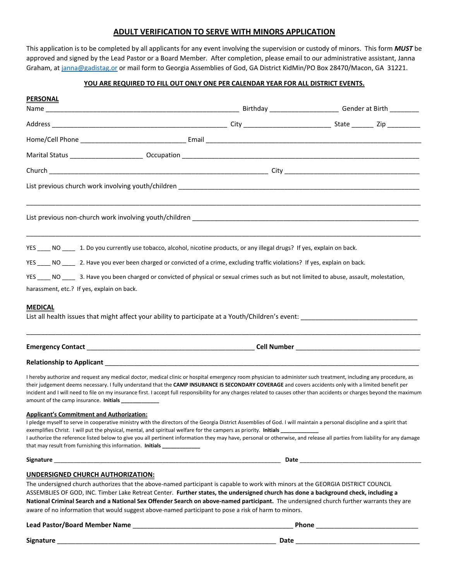#### **ADULT VERIFICATION TO SERVE WITH MINORS APPLICATION**

This application is to be completed by all applicants for any event involving the supervision or custody of minors. This form *MUST* be approved and signed by the Lead Pastor or a Board Member. After completion, please email to our administrative assistant, Janna Graham, at [janna@gadistag.or](mailto:janna@gadistag.or) or mail form to Georgia Assemblies of God, GA District KidMin/PO Box 28470/Macon, GA 31221.

#### **YOU ARE REQUIRED TO FILL OUT ONLY ONE PER CALENDAR YEAR FOR ALL DISTRICT EVENTS.**

| <b>PERSONAL</b>                                                                                                                                                                                                                                                                                                                                                                                                                                                                                                                                                                                         |  |  |  |
|---------------------------------------------------------------------------------------------------------------------------------------------------------------------------------------------------------------------------------------------------------------------------------------------------------------------------------------------------------------------------------------------------------------------------------------------------------------------------------------------------------------------------------------------------------------------------------------------------------|--|--|--|
|                                                                                                                                                                                                                                                                                                                                                                                                                                                                                                                                                                                                         |  |  |  |
|                                                                                                                                                                                                                                                                                                                                                                                                                                                                                                                                                                                                         |  |  |  |
|                                                                                                                                                                                                                                                                                                                                                                                                                                                                                                                                                                                                         |  |  |  |
|                                                                                                                                                                                                                                                                                                                                                                                                                                                                                                                                                                                                         |  |  |  |
|                                                                                                                                                                                                                                                                                                                                                                                                                                                                                                                                                                                                         |  |  |  |
|                                                                                                                                                                                                                                                                                                                                                                                                                                                                                                                                                                                                         |  |  |  |
|                                                                                                                                                                                                                                                                                                                                                                                                                                                                                                                                                                                                         |  |  |  |
| YES _____ NO _____ 1. Do you currently use tobacco, alcohol, nicotine products, or any illegal drugs? If yes, explain on back.<br>YES ____ NO ____ 2. Have you ever been charged or convicted of a crime, excluding traffic violations? If yes, explain on back.<br>YES _____ NO ______ 3. Have you been charged or convicted of physical or sexual crimes such as but not limited to abuse, assault, molestation,<br>harassment, etc.? If yes, explain on back.                                                                                                                                        |  |  |  |
| <b>MEDICAL</b>                                                                                                                                                                                                                                                                                                                                                                                                                                                                                                                                                                                          |  |  |  |
|                                                                                                                                                                                                                                                                                                                                                                                                                                                                                                                                                                                                         |  |  |  |
| I hereby authorize and request any medical doctor, medical clinic or hospital emergency room physician to administer such treatment, including any procedure, as<br>their judgement deems necessary. I fully understand that the CAMP INSURANCE IS SECONDARY COVERAGE and covers accidents only with a limited benefit per<br>incident and I will need to file on my insurance first. I accept full responsibility for any charges related to causes other than accidents or charges beyond the maximum<br>amount of the camp insurance. Initials _____________                                         |  |  |  |
| <b>Applicant's Commitment and Authorization:</b><br>I pledge myself to serve in cooperative ministry with the directors of the Georgia District Assemblies of God. I will maintain a personal discipline and a spirit that<br>exemplifies Christ. I will put the physical, mental, and spiritual welfare for the campers as priority. Initials<br>I authorize the reference listed below to give you all pertinent information they may have, personal or otherwise, and release all parties from liability for any damage<br>that may result from furnishing this information. Initials ______________ |  |  |  |
|                                                                                                                                                                                                                                                                                                                                                                                                                                                                                                                                                                                                         |  |  |  |
| <b>UNDERSIGNED CHURCH AUTHORIZATION:</b>                                                                                                                                                                                                                                                                                                                                                                                                                                                                                                                                                                |  |  |  |
| The undersigned church authorizes that the above-named participant is capable to work with minors at the GEORGIA DISTRICT COUNCIL<br>ASSEMBLIES OF GOD, INC. Timber Lake Retreat Center. Further states, the undersigned church has done a background check, including a<br>National Criminal Search and a National Sex Offender Search on above-named participant. The undersigned church further warrants they are<br>aware of no information that would suggest above-named participant to pose a risk of harm to minors.                                                                            |  |  |  |
|                                                                                                                                                                                                                                                                                                                                                                                                                                                                                                                                                                                                         |  |  |  |

**Signature** \_\_\_\_\_\_\_\_\_\_\_\_\_\_\_\_\_\_\_\_\_\_\_\_\_\_\_\_\_\_\_\_\_\_\_\_\_\_\_\_\_\_\_\_\_\_\_\_\_\_\_\_\_\_\_\_\_\_\_\_ **Date** \_\_\_\_\_\_\_\_\_\_\_\_\_\_\_\_\_\_\_\_\_\_\_\_\_\_\_\_\_\_\_\_\_\_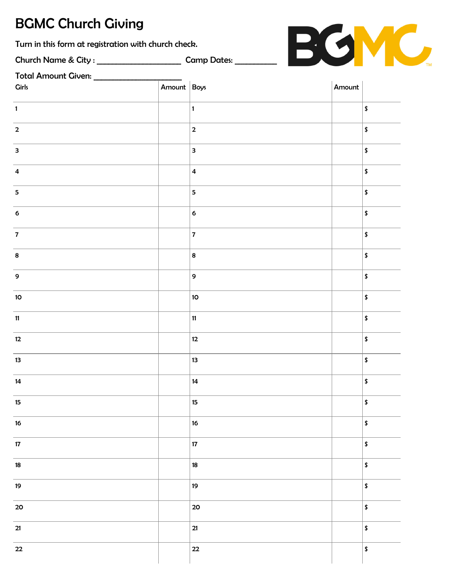# BGMC Church Giving

Turn in this form at registration with church check.

Church Name & City : \_\_\_\_\_\_\_\_\_\_\_\_\_\_\_\_\_\_\_\_\_\_ Camp Dates: \_\_\_\_\_\_\_\_\_\_\_

| Total Amount Given: _____________ |             |                         |        |                     |
|-----------------------------------|-------------|-------------------------|--------|---------------------|
| <b>Girls</b>                      | Amount Boys |                         | Amount |                     |
| $\mathbf{1}$                      |             | $\vert$ 1               |        | $\pmb{\mathsf{\$}}$ |
| $\mathbf 2$                       |             | $\overline{\mathbf{2}}$ |        | $\pmb{\mathsf{\$}}$ |
| $\overline{\mathbf{3}}$           |             | $\overline{\mathbf{3}}$ |        | $\pmb{\mathsf{\$}}$ |
| $\overline{\mathbf{4}}$           |             | $\overline{\mathbf{4}}$ |        | $\pmb{\mathsf{\$}}$ |
| $\overline{\mathbf{5}}$           |             | $\overline{\mathbf{5}}$ |        | $\pmb{\mathsf{s}}$  |
| $\boldsymbol{6}$                  |             | $\bf 6$                 |        | $\pmb{\mathsf{\$}}$ |
| $\overline{7}$                    |             | $\overline{7}$          |        | $\pmb{\mathsf{\$}}$ |
| $\bf 8$                           |             | $\overline{\mathbf{8}}$ |        | $\pmb{\mathsf{\$}}$ |
| $\boldsymbol{9}$                  |             | 9                       |        | $\pmb{\mathsf{\$}}$ |
| $10\,$                            |             | 10 <sub>o</sub>         |        | $\pmb{\mathsf{s}}$  |
| $11$                              |             | $\mathbf{11}$           |        | $\pmb{\mathsf{\$}}$ |
| 12                                |             | $12 \,$                 |        | $\pmb{\mathsf{\$}}$ |
| 13                                |             | 13                      |        | $\pmb{\mathsf{\$}}$ |
| 14                                |             | ${\bf 14}$              |        | $\pmb{\mathsf{\$}}$ |
| $15\,$                            |             | $15\phantom{.0}$        |        | $\pmb{\mathsf{\$}}$ |
| $16\,$                            |             | 16                      |        | $\pmb{\mathsf{\$}}$ |
| $17\,$                            |             | $17\,$                  |        | $\pmb{\mathsf{\$}}$ |
| $18\,$                            |             | 18                      |        | $\pmb{\mathsf{\$}}$ |
| 19                                |             | 19                      |        | $\pmb{\mathsf{\$}}$ |
| 20                                |             | 20                      |        | $\pmb{\mathsf{\$}}$ |
| $21$                              |             | $21$                    |        | $\pmb{\mathsf{\$}}$ |
| $22\,$                            |             | $22\,$                  |        | $\pmb{\mathsf{\$}}$ |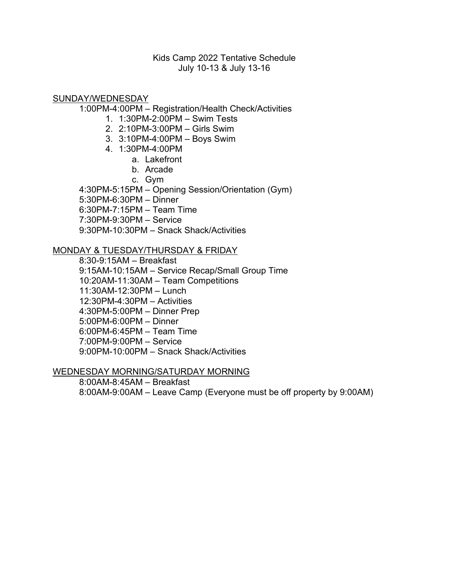### Kids Camp 2022 Tentative Schedule July 10-13 & July 13-16

SUNDAY/WEDNESDAY

1:00PM-4:00PM – Registration/Health Check/Activities

- 1. 1:30PM-2:00PM Swim Tests
- 2. 2:10PM-3:00PM Girls Swim
- 3. 3:10PM-4:00PM Boys Swim
- 4. 1:30PM-4:00PM
	- a. Lakefront
	- b. Arcade
	- c. Gym

4:30PM-5:15PM – Opening Session/Orientation (Gym)

5:30PM-6:30PM – Dinner

6:30PM-7:15PM – Team Time

7:30PM-9:30PM – Service

9:30PM-10:30PM – Snack Shack/Activities

### MONDAY & TUESDAY/THURSDAY & FRIDAY

8:30-9:15AM – Breakfast 9:15AM-10:15AM – Service Recap/Small Group Time 10:20AM-11:30AM – Team Competitions 11:30AM-12:30PM – Lunch 12:30PM-4:30PM – Activities 4:30PM-5:00PM – Dinner Prep 5:00PM-6:00PM – Dinner 6:00PM-6:45PM – Team Time 7:00PM-9:00PM – Service 9:00PM-10:00PM – Snack Shack/Activities

#### WEDNESDAY MORNING/SATURDAY MORNING

8:00AM-8:45AM – Breakfast 8:00AM-9:00AM – Leave Camp (Everyone must be off property by 9:00AM)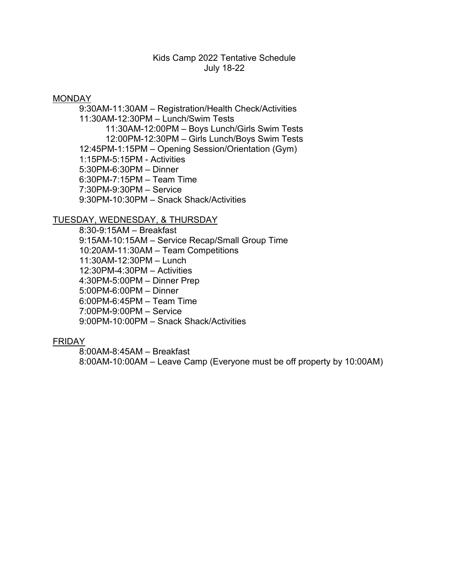### Kids Camp 2022 Tentative Schedule July 18-22

#### MONDAY

9:30AM-11:30AM – Registration/Health Check/Activities 11:30AM-12:30PM – Lunch/Swim Tests 11:30AM-12:00PM – Boys Lunch/Girls Swim Tests 12:00PM-12:30PM – Girls Lunch/Boys Swim Tests 12:45PM-1:15PM – Opening Session/Orientation (Gym) 1:15PM-5:15PM - Activities 5:30PM-6:30PM – Dinner 6:30PM-7:15PM – Team Time 7:30PM-9:30PM – Service 9:30PM-10:30PM – Snack Shack/Activities

#### TUESDAY, WEDNESDAY, & THURSDAY

8:30-9:15AM – Breakfast 9:15AM-10:15AM – Service Recap/Small Group Time 10:20AM-11:30AM – Team Competitions 11:30AM-12:30PM – Lunch 12:30PM-4:30PM – Activities 4:30PM-5:00PM – Dinner Prep 5:00PM-6:00PM – Dinner 6:00PM-6:45PM – Team Time 7:00PM-9:00PM – Service 9:00PM-10:00PM – Snack Shack/Activities

#### FRIDAY

8:00AM-8:45AM – Breakfast 8:00AM-10:00AM – Leave Camp (Everyone must be off property by 10:00AM)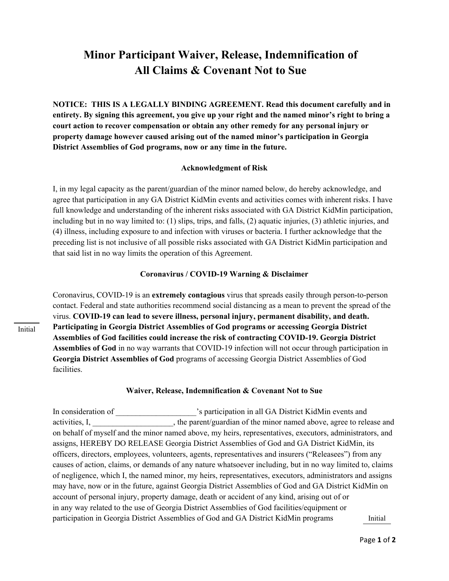## **Minor Participant Waiver, Release, Indemnification of All Claims & Covenant Not to Sue**

**NOTICE: THIS IS A LEGALLY BINDING AGREEMENT. Read this document carefully and in entirety. By signing this agreement, you give up your right and the named minor's right to bring a court action to recover compensation or obtain any other remedy for any personal injury or property damage however caused arising out of the named minor's participation in Georgia District Assemblies of God programs, now or any time in the future.**

#### **Acknowledgment of Risk**

I, in my legal capacity as the parent/guardian of the minor named below, do hereby acknowledge, and agree that participation in any GA District KidMin events and activities comes with inherent risks. I have full knowledge and understanding of the inherent risks associated with GA District KidMin participation, including but in no way limited to: (1) slips, trips, and falls, (2) aquatic injuries, (3) athletic injuries, and (4) illness, including exposure to and infection with viruses or bacteria. I further acknowledge that the preceding list is not inclusive of all possible risks associated with GA District KidMin participation and that said list in no way limits the operation of this Agreement.

#### **Coronavirus / COVID-19 Warning & Disclaimer**

Coronavirus, COVID-19 is an **extremely contagious** virus that spreads easily through person-to-person contact. Federal and state authorities recommend social distancing as a mean to prevent the spread of the virus. **COVID-19 can lead to severe illness, personal injury, permanent disability, and death. Participating in Georgia District Assemblies of God programs or accessing Georgia District Assemblies of God facilities could increase the risk of contracting COVID-19. Georgia District Assemblies of God** in no way warrants that COVID-19 infection will not occur through participation in **Georgia District Assemblies of God** programs of accessing Georgia District Assemblies of God facilities.

#### **Waiver, Release, Indemnification & Covenant Not to Sue**

In consideration of \_\_\_\_\_\_\_\_\_\_\_\_\_\_\_\_\_\_'s participation in all GA District KidMin events and activities, I, the parent/guardian of the minor named above, agree to release and on behalf of myself and the minor named above, my heirs, representatives, executors, administrators, and assigns, HEREBY DO RELEASE Georgia District Assemblies of God and GA District KidMin, its officers, directors, employees, volunteers, agents, representatives and insurers ("Releasees") from any causes of action, claims, or demands of any nature whatsoever including, but in no way limited to, claims of negligence, which I, the named minor, my heirs, representatives, executors, administrators and assigns may have, now or in the future, against Georgia District Assemblies of God and GA District KidMin on account of personal injury, property damage, death or accident of any kind, arising out of or in any way related to the use of Georgia District Assemblies of God facilities/equipment or participation in Georgia District Assemblies of God and GA District KidMin programs Initial

Initial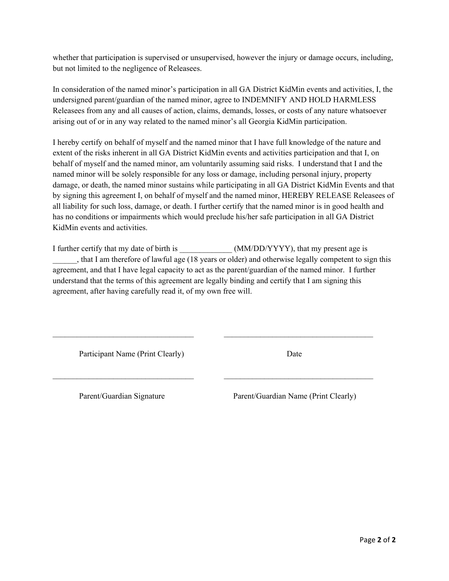whether that participation is supervised or unsupervised, however the injury or damage occurs, including, but not limited to the negligence of Releasees.

In consideration of the named minor's participation in all GA District KidMin events and activities, I, the undersigned parent/guardian of the named minor, agree to INDEMNIFY AND HOLD HARMLESS Releasees from any and all causes of action, claims, demands, losses, or costs of any nature whatsoever arising out of or in any way related to the named minor's all Georgia KidMin participation.

I hereby certify on behalf of myself and the named minor that I have full knowledge of the nature and extent of the risks inherent in all GA District KidMin events and activities participation and that I, on behalf of myself and the named minor, am voluntarily assuming said risks. I understand that I and the named minor will be solely responsible for any loss or damage, including personal injury, property damage, or death, the named minor sustains while participating in all GA District KidMin Events and that by signing this agreement I, on behalf of myself and the named minor, HEREBY RELEASE Releasees of all liability for such loss, damage, or death. I further certify that the named minor is in good health and has no conditions or impairments which would preclude his/her safe participation in all GA District KidMin events and activities.

I further certify that my date of birth is  $(MM/DD/YYYY)$ , that my present age is \_\_\_\_\_\_, that I am therefore of lawful age (18 years or older) and otherwise legally competent to sign this agreement, and that I have legal capacity to act as the parent/guardian of the named minor. I further understand that the terms of this agreement are legally binding and certify that I am signing this agreement, after having carefully read it, of my own free will.

\_\_\_\_\_\_\_\_\_\_\_\_\_\_\_\_\_\_\_\_\_\_\_\_\_\_\_\_\_\_\_\_\_\_\_ \_\_\_\_\_\_\_\_\_\_\_\_\_\_\_\_\_\_\_\_\_\_\_\_\_\_\_\_\_\_\_\_\_\_\_\_\_

\_\_\_\_\_\_\_\_\_\_\_\_\_\_\_\_\_\_\_\_\_\_\_\_\_\_\_\_\_\_\_\_\_\_\_ \_\_\_\_\_\_\_\_\_\_\_\_\_\_\_\_\_\_\_\_\_\_\_\_\_\_\_\_\_\_\_\_\_\_\_\_\_

Participant Name (Print Clearly) Date

Parent/Guardian Signature Parent/Guardian Name (Print Clearly)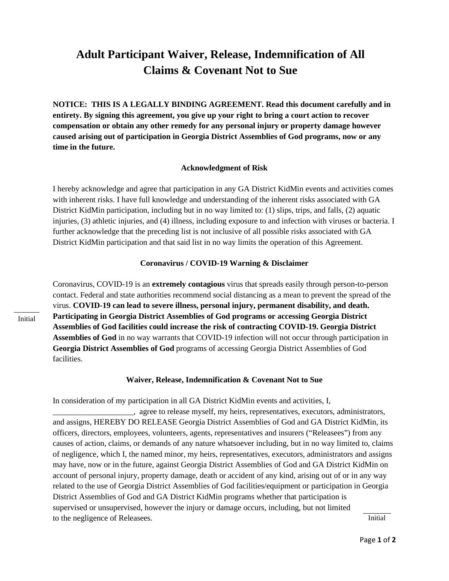### **Adult Participant Waiver, Release, Indemnification of All Claims & Covenant Not to Sue**

**NOTICE: THIS IS A LEGALLY BINDING AGREEMENT. Read this document carefully and in entirety. By signing this agreement, you give up your right to bring a court action to recover compensation or obtain any other remedy for any personal injury or property damage however caused arising out of participation in Georgia District Assemblies of God programs, now or any time in the future.**

#### **Acknowledgment of Risk**

I hereby acknowledge and agree that participation in any GA District KidMin events and activities comes with inherent risks. I have full knowledge and understanding of the inherent risks associated with GA District KidMin participation, including but in no way limited to: (1) slips, trips, and falls, (2) aquatic injuries, (3) athletic injuries, and (4) illness, including exposure to and infection with viruses or bacteria. I further acknowledge that the preceding list is not inclusive of all possible risks associated with GA District KidMin participation and that said list in no way limits the operation of this Agreement.

#### **Coronavirus / COVID-19 Warning & Disclaimer**

Coronavirus, COVID-19 is an **extremely contagious** virus that spreads easily through person-to-person contact. Federal and state authorities recommend social distancing as a mean to prevent the spread of the virus. **COVID-19 can lead to severe illness, personal injury, permanent disability, and death. Participating in Georgia District Assemblies of God programs or accessing Georgia District Assemblies of God facilities could increase the risk of contracting COVID-19. Georgia District Assemblies of God** in no way warrants that COVID-19 infection will not occur through participation in **Georgia District Assemblies of God** programs of accessing Georgia District Assemblies of God facilities.

#### **Waiver, Release, Indemnification & Covenant Not to Sue**

In consideration of my participation in all GA District KidMin events and activities, I,

\_\_\_\_\_\_\_\_\_\_\_\_\_\_\_\_\_\_\_\_, agree to release myself, my heirs, representatives, executors, administrators, and assigns, HEREBY DO RELEASE Georgia District Assemblies of God and GA District KidMin, its officers, directors, employees, volunteers, agents, representatives and insurers ("Releasees") from any causes of action, claims, or demands of any nature whatsoever including, but in no way limited to, claims of negligence, which I, the named minor, my heirs, representatives, executors, administrators and assigns may have, now or in the future, against Georgia District Assemblies of God and GA District KidMin on account of personal injury, property damage, death or accident of any kind, arising out of or in any way related to the use of Georgia District Assemblies of God facilities/equipment or participation in Georgia District Assemblies of God and GA District KidMin programs whether that participation is supervised or unsupervised, however the injury or damage occurs, including, but not limited to the negligence of Releasees. Initial

Initial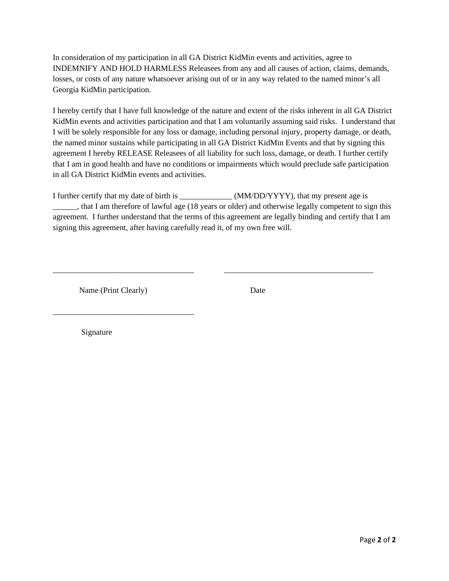In consideration of my participation in all GA District KidMin events and activities, agree to INDEMNIFY AND HOLD HARMLESS Releasees from any and all causes of action, claims, demands, losses, or costs of any nature whatsoever arising out of or in any way related to the named minor's all Georgia KidMin participation.

I hereby certify that I have full knowledge of the nature and extent of the risks inherent in all GA District KidMin events and activities participation and that I am voluntarily assuming said risks. I understand that I will be solely responsible for any loss or damage, including personal injury, property damage, or death, the named minor sustains while participating in all GA District KidMin Events and that by signing this agreement I hereby RELEASE Releasees of all liability for such loss, damage, or death. I further certify that I am in good health and have no conditions or impairments which would preclude safe participation in all GA District KidMin events and activities.

I further certify that my date of birth is \_\_\_\_\_\_\_\_\_\_\_\_\_ (MM/DD/YYYY), that my present age is \_\_\_\_\_\_, that I am therefore of lawful age (18 years or older) and otherwise legally competent to sign this agreement. I further understand that the terms of this agreement are legally binding and certify that I am signing this agreement, after having carefully read it, of my own free will.

\_\_\_\_\_\_\_\_\_\_\_\_\_\_\_\_\_\_\_\_\_\_\_\_\_\_\_\_\_\_\_\_\_\_\_ \_\_\_\_\_\_\_\_\_\_\_\_\_\_\_\_\_\_\_\_\_\_\_\_\_\_\_\_\_\_\_\_\_\_\_\_\_

Name (Print Clearly) Date

\_\_\_\_\_\_\_\_\_\_\_\_\_\_\_\_\_\_\_\_\_\_\_\_\_\_\_\_\_\_\_\_\_\_\_

Signature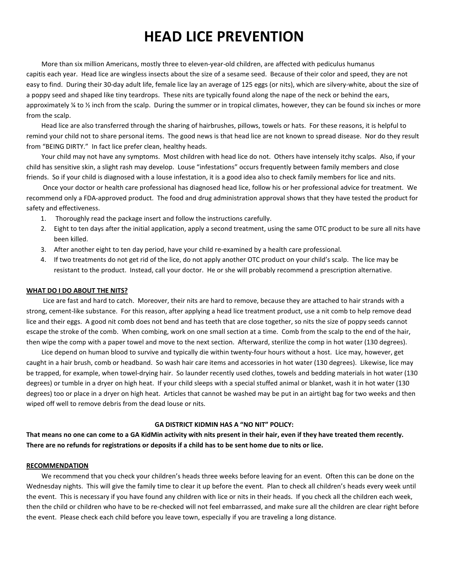# **HEAD LICE PREVENTION**

 More than six million Americans, mostly three to eleven-year-old children, are affected with pediculus humanus capitis each year. Head lice are wingless insects about the size of a sesame seed. Because of their color and speed, they are not easy to find. During their 30-day adult life, female lice lay an average of 125 eggs (or nits), which are silvery-white, about the size of a poppy seed and shaped like tiny teardrops. These nits are typically found along the nape of the neck or behind the ears, approximately ¼ to ½ inch from the scalp. During the summer or in tropical climates, however, they can be found six inches or more from the scalp.

 Head lice are also transferred through the sharing of hairbrushes, pillows, towels or hats. For these reasons, it is helpful to remind your child not to share personal items. The good news is that head lice are not known to spread disease. Nor do they result from "BEING DIRTY." In fact lice prefer clean, healthy heads.

 Your child may not have any symptoms. Most children with head lice do not. Others have intensely itchy scalps. Also, if your child has sensitive skin, a slight rash may develop. Louse "infestations" occurs frequently between family members and close friends. So if your child is diagnosed with a louse infestation, it is a good idea also to check family members for lice and nits.

 Once your doctor or health care professional has diagnosed head lice, follow his or her professional advice for treatment. We recommend only a FDA-approved product. The food and drug administration approval shows that they have tested the product for safety and effectiveness.

- 1. Thoroughly read the package insert and follow the instructions carefully.
- 2. Eight to ten days after the initial application, apply a second treatment, using the same OTC product to be sure all nits have been killed.
- 3. After another eight to ten day period, have your child re-examined by a health care professional.
- 4. If two treatments do not get rid of the lice, do not apply another OTC product on your child's scalp. The lice may be resistant to the product. Instead, call your doctor. He or she will probably recommend a prescription alternative.

#### **WHAT DO I DO ABOUT THE NITS?**

Lice are fast and hard to catch. Moreover, their nits are hard to remove, because they are attached to hair strands with a strong, cement-like substance. For this reason, after applying a head lice treatment product, use a nit comb to help remove dead lice and their eggs. A good nit comb does not bend and has teeth that are close together, so nits the size of poppy seeds cannot escape the stroke of the comb. When combing, work on one small section at a time. Comb from the scalp to the end of the hair, then wipe the comp with a paper towel and move to the next section. Afterward, sterilize the comp in hot water (130 degrees).

 Lice depend on human blood to survive and typically die within twenty-four hours without a host. Lice may, however, get caught in a hair brush, comb or headband. So wash hair care items and accessories in hot water (130 degrees). Likewise, lice may be trapped, for example, when towel-drying hair. So launder recently used clothes, towels and bedding materials in hot water (130 degrees) or tumble in a dryer on high heat. If your child sleeps with a special stuffed animal or blanket, wash it in hot water (130 degrees) too or place in a dryer on high heat. Articles that cannot be washed may be put in an airtight bag for two weeks and then wiped off well to remove debris from the dead louse or nits.

#### **GA DISTRICT KIDMIN HAS A "NO NIT" POLICY:**

**That means no one can come to a GA KidMin activity with nits present in their hair, even if they have treated them recently. There are no refunds for registrations or deposits if a child has to be sent home due to nits or lice.**

#### **RECOMMENDATION**

 We recommend that you check your children's heads three weeks before leaving for an event. Often this can be done on the Wednesday nights. This will give the family time to clear it up before the event. Plan to check all children's heads every week until the event. This is necessary if you have found any children with lice or nits in their heads. If you check all the children each week, then the child or children who have to be re-checked will not feel embarrassed, and make sure all the children are clear right before the event. Please check each child before you leave town, especially if you are traveling a long distance.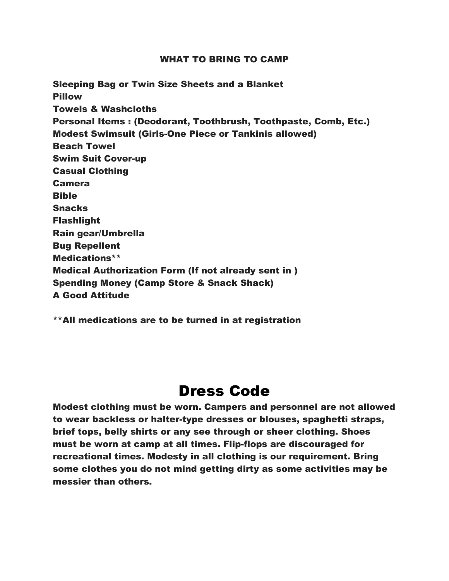#### WHAT TO BRING TO CAMP

Sleeping Bag or Twin Size Sheets and a Blanket Pillow Towels & Washcloths Personal Items : (Deodorant, Toothbrush, Toothpaste, Comb, Etc.) Modest Swimsuit (Girls-One Piece or Tankinis allowed) Beach Towel Swim Suit Cover-up Casual Clothing Camera Bible **Snacks** Flashlight Rain gear/Umbrella Bug Repellent Medications\*\* Medical Authorization Form (If not already sent in ) Spending Money (Camp Store & Snack Shack) A Good Attitude

\*\*All medications are to be turned in at registration

## Dress Code

Modest clothing must be worn. Campers and personnel are not allowed to wear backless or halter-type dresses or blouses, spaghetti straps, brief tops, belly shirts or any see through or sheer clothing. Shoes must be worn at camp at all times. Flip-flops are discouraged for recreational times. Modesty in all clothing is our requirement. Bring some clothes you do not mind getting dirty as some activities may be messier than others.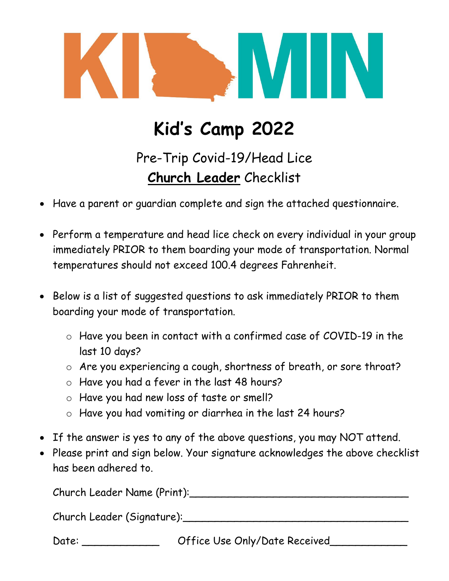

# **Kid's Camp 2022**

Pre-Trip Covid-19/Head Lice **Church Leader** Checklist

- Have a parent or guardian complete and sign the attached questionnaire.
- Perform a temperature and head lice check on every individual in your group immediately PRIOR to them boarding your mode of transportation. Normal temperatures should not exceed 100.4 degrees Fahrenheit.
- Below is a list of suggested questions to ask immediately PRIOR to them boarding your mode of transportation.
	- o Have you been in contact with a confirmed case of COVID-19 in the last 10 days?
	- o Are you experiencing a cough, shortness of breath, or sore throat?
	- o Have you had a fever in the last 48 hours?
	- o Have you had new loss of taste or smell?
	- o Have you had vomiting or diarrhea in the last 24 hours?
- If the answer is yes to any of the above questions, you may NOT attend.
- Please print and sign below. Your signature acknowledges the above checklist has been adhered to.

Church Leader Name (Print):\_\_\_\_\_\_\_\_\_\_\_\_\_\_\_\_\_\_\_\_\_\_\_\_\_\_\_\_\_\_\_\_\_\_

Church Leader (Signature):\_\_\_\_\_\_\_\_\_\_\_\_\_\_\_\_\_\_\_\_\_\_\_\_\_\_\_\_\_\_\_\_\_\_\_

Date: \_\_\_\_\_\_\_\_\_\_\_\_\_\_\_\_\_\_\_\_ Office Use Only/Date Received